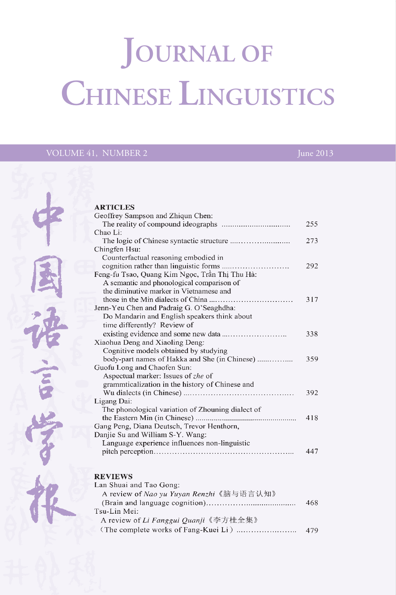# **JOURNAL OF** CHINESE LINGUISTICS

## VOLUME 41, NUMBER 2



|                                                   | 255 |
|---------------------------------------------------|-----|
| Chao Li:                                          |     |
|                                                   | 273 |
| Chingfen Hsu:                                     |     |
| Counterfactual reasoning embodied in              |     |
|                                                   | 292 |
| Feng-fu Tsao, Quang Kim Ngọc, Trần Thị Thu Hà:    |     |
| A semantic and phonological comparison of         |     |
| the diminutive marker in Vietnamese and           |     |
|                                                   | 317 |
| Jenn-Yeu Chen and Padraig G. O'Seaghdha:          |     |
| Do Mandarin and English speakers think about      |     |
| time differently? Review of                       |     |
|                                                   | 338 |
| Xiaohua Deng and Xiaoling Deng:                   |     |
| Cognitive models obtained by studying             |     |
| body-part names of Hakka and She (in Chinese)     | 359 |
| Guofu Long and Chaofen Sun:                       |     |
| Aspectual marker: Issues of zhe of                |     |
| grammticalization in the history of Chinese and   |     |
|                                                   | 392 |
| Ligang Dai:                                       |     |
| The phonological variation of Zhouning dialect of |     |
|                                                   | 418 |
| Gang Peng, Diana Deutsch, Trevor Henthorn,        |     |
| Danjie Su and William S-Y. Wang:                  |     |
| Language experience influences non-linguistic     |     |
|                                                   | 447 |
|                                                   |     |
|                                                   |     |

| an Shuai and Tao Gong:                  |      |
|-----------------------------------------|------|
| A review of Nao yu Yuyan Renzhi《脑与语言认知》 |      |
|                                         | 468  |
| `su-Lin Mei:                            |      |
| A review of Li Fanggui Quanji《李方桂全集》    |      |
|                                         | -479 |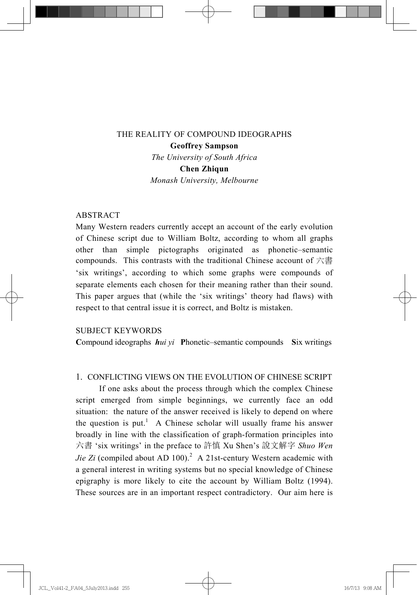### THE REALITY OF COMPOUND IDEOGRAPHS **Geoffrey Sampson**

*The University of South Africa* 

**Chen Zhiqun** 

*Monash University, Melbourne* 

#### ABSTRACT

Many Western readers currently accept an account of the early evolution of Chinese script due to William Boltz, according to whom all graphs other than simple pictographs originated as phonetic–semantic compounds. This contrasts with the traditional Chinese account of 六書 'six writings', according to which some graphs were compounds of separate elements each chosen for their meaning rather than their sound. This paper argues that (while the 'six writings' theory had flaws) with respect to that central issue it is correct, and Boltz is mistaken.

#### SUBJECT KEYWORDS

**C**ompound ideographs *hui yi* **P**honetic–semantic compounds **S**ix writings

#### 1. CONFLICTING VIEWS ON THE EVOLUTION OF CHINESE SCRIPT

 If one asks about the process through which the complex Chinese script emerged from simple beginnings, we currently face an odd situation: the nature of the answer received is likely to depend on where the question is put.<sup>1</sup> A Chinese scholar will usually frame his answer broadly in line with the classification of graph-formation principles into 六書 'six writings' in the preface to 許慎 Xu Shen's 說文解字 *Shuo Wen Jie Zi* (compiled about AD 100).<sup>2</sup> A 21st-century Western academic with a general interest in writing systems but no special knowledge of Chinese epigraphy is more likely to cite the account by William Boltz (1994). These sources are in an important respect contradictory. Our aim here is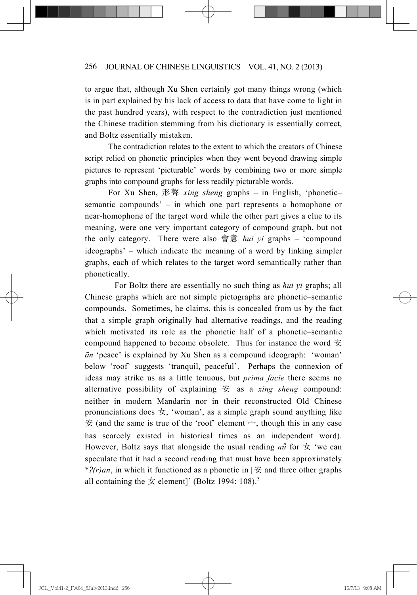to argue that, although Xu Shen certainly got many things wrong (which is in part explained by his lack of access to data that have come to light in the past hundred years), with respect to the contradiction just mentioned the Chinese tradition stemming from his dictionary is essentially correct, and Boltz essentially mistaken.

 The contradiction relates to the extent to which the creators of Chinese script relied on phonetic principles when they went beyond drawing simple pictures to represent 'picturable' words by combining two or more simple graphs into compound graphs for less readily picturable words.

For Xu Shen, 形聲 *xing sheng* graphs – in English, 'phonetic– semantic compounds' – in which one part represents a homophone or near-homophone of the target word while the other part gives a clue to its meaning, were one very important category of compound graph, but not the only category. There were also 會意 *hui yi* graphs – 'compound ideographs' – which indicate the meaning of a word by linking simpler graphs, each of which relates to the target word semantically rather than phonetically.

 For Boltz there are essentially no such thing as *hui yi* graphs; all Chinese graphs which are not simple pictographs are phonetic–semantic compounds. Sometimes, he claims, this is concealed from us by the fact that a simple graph originally had alternative readings, and the reading which motivated its role as the phonetic half of a phonetic–semantic compound happened to become obsolete. Thus for instance the word  $\hat{\Xi}$  $\bar{a}$ <sup>*n*</sup> 'peace' is explained by Xu Shen as a compound ideograph: 'woman' below 'roof' suggests 'tranquil, peaceful'. Perhaps the connexion of ideas may strike us as a little tenuous, but *prima facie* there seems no alternative possibility of explaining  $\hat{\Xi}$  as a *xing sheng* compound: neither in modern Mandarin nor in their reconstructed Old Chinese pronunciations does  $\pm$ , 'woman', as a simple graph sound anything like  $\hat{\mathcal{F}}$  (and the same is true of the 'roof' element  $\rightarrow$ , though this in any case has scarcely existed in historical times as an independent word). However, Boltz says that alongside the usual reading  $n\ddot{u}$  for  $\dot{\mathcal{F}}$  'we can speculate that it had a second reading that must have been approximately \* $P(r)$ *an*, in which it functioned as a phonetic in [ $\hat{\mathcal{F}}$  and three other graphs all containing the  $\pm$  element]' (Boltz 1994: 108).<sup>3</sup>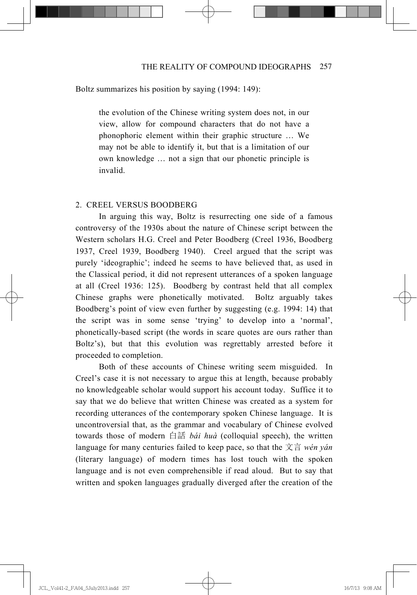#### Boltz summarizes his position by saying (1994: 149):

the evolution of the Chinese writing system does not, in our view, allow for compound characters that do not have a phonophoric element within their graphic structure … We may not be able to identify it, but that is a limitation of our own knowledge … not a sign that our phonetic principle is invalid.

#### 2. CREEL VERSUS BOODBERG

 In arguing this way, Boltz is resurrecting one side of a famous controversy of the 1930s about the nature of Chinese script between the Western scholars H.G. Creel and Peter Boodberg (Creel 1936, Boodberg 1937, Creel 1939, Boodberg 1940). Creel argued that the script was purely 'ideographic'; indeed he seems to have believed that, as used in the Classical period, it did not represent utterances of a spoken language at all (Creel 1936: 125). Boodberg by contrast held that all complex Chinese graphs were phonetically motivated. Boltz arguably takes Boodberg's point of view even further by suggesting (e.g. 1994: 14) that the script was in some sense 'trying' to develop into a 'normal', phonetically-based script (the words in scare quotes are ours rather than Boltz's), but that this evolution was regrettably arrested before it proceeded to completion.

 Both of these accounts of Chinese writing seem misguided. In Creel's case it is not necessary to argue this at length, because probably no knowledgeable scholar would support his account today. Suffice it to say that we do believe that written Chinese was created as a system for recording utterances of the contemporary spoken Chinese language. It is uncontroversial that, as the grammar and vocabulary of Chinese evolved towards those of modern 白話 *bái huà* (colloquial speech), the written language for many centuries failed to keep pace, so that the 文言 wén yán (literary language) of modern times has lost touch with the spoken language and is not even comprehensible if read aloud. But to say that written and spoken languages gradually diverged after the creation of the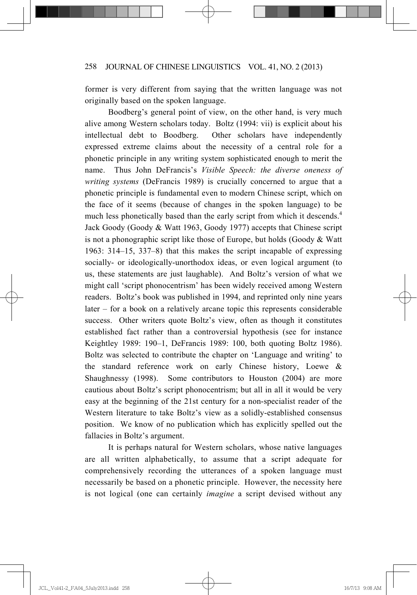former is very different from saying that the written language was not originally based on the spoken language.

 Boodberg's general point of view, on the other hand, is very much alive among Western scholars today. Boltz (1994: vii) is explicit about his intellectual debt to Boodberg. Other scholars have independently expressed extreme claims about the necessity of a central role for a phonetic principle in any writing system sophisticated enough to merit the name. Thus John DeFrancis's *Visible Speech: the diverse oneness of writing systems* (DeFrancis 1989) is crucially concerned to argue that a phonetic principle is fundamental even to modern Chinese script, which on the face of it seems (because of changes in the spoken language) to be much less phonetically based than the early script from which it descends.<sup>4</sup> Jack Goody (Goody & Watt 1963, Goody 1977) accepts that Chinese script is not a phonographic script like those of Europe, but holds (Goody  $& Watt$ 1963: 314–15, 337–8) that this makes the script incapable of expressing socially- or ideologically-unorthodox ideas, or even logical argument (to us, these statements are just laughable). And Boltz's version of what we might call 'script phonocentrism' has been widely received among Western readers. Boltz's book was published in 1994, and reprinted only nine years later – for a book on a relatively arcane topic this represents considerable success. Other writers quote Boltz's view, often as though it constitutes established fact rather than a controversial hypothesis (see for instance Keightley 1989: 190–1, DeFrancis 1989: 100, both quoting Boltz 1986). Boltz was selected to contribute the chapter on 'Language and writing' to the standard reference work on early Chinese history, Loewe & Shaughnessy (1998). Some contributors to Houston (2004) are more cautious about Boltz's script phonocentrism; but all in all it would be very easy at the beginning of the 21st century for a non-specialist reader of the Western literature to take Boltz's view as a solidly-established consensus position. We know of no publication which has explicitly spelled out the fallacies in Boltz's argument.

 It is perhaps natural for Western scholars, whose native languages are all written alphabetically, to assume that a script adequate for comprehensively recording the utterances of a spoken language must necessarily be based on a phonetic principle. However, the necessity here is not logical (one can certainly *imagine* a script devised without any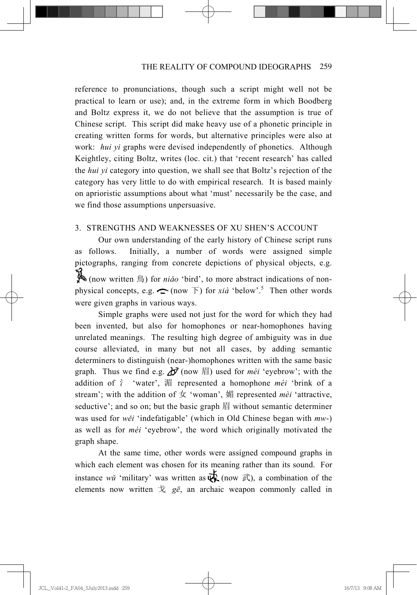reference to pronunciations, though such a script might well not be practical to learn or use); and, in the extreme form in which Boodberg and Boltz express it, we do not believe that the assumption is true of Chinese script. This script did make heavy use of a phonetic principle in creating written forms for words, but alternative principles were also at work: *hui yi* graphs were devised independently of phonetics. Although Keightley, citing Boltz, writes (loc. cit.) that 'recent research' has called the *hui yi* category into question, we shall see that Boltz's rejection of the category has very little to do with empirical research. It is based mainly on aprioristic assumptions about what 'must' necessarily be the case, and we find those assumptions unpersuasive.

#### 3. STRENGTHS AND WEAKNESSES OF XU SHEN'S ACCOUNT

 Our own understanding of the early history of Chinese script runs as follows. Initially, a number of words were assigned simple pictographs, ranging from concrete depictions of physical objects, e.g. (now written 鳥) for *niǎo* 'bird', to more abstract indications of nonphysical concepts, e.g.  $\bigcap$  (now  $\overline{F}$ ) for *xià* 'below'.<sup>5</sup> Then other words were given graphs in various ways.

 Simple graphs were used not just for the word for which they had been invented, but also for homophones or near-homophones having unrelated meanings. The resulting high degree of ambiguity was in due course alleviated, in many but not all cases, by adding semantic determiners to distinguish (near-)homophones written with the same basic graph. Thus we find e.g.  $\partial f$  (now  $\hat{F}$ ) used for *méi* 'eyebrow'; with the addition of  $\gamma$  'water',  $\frac{1}{2}$  represented a homophone *méi* 'brink of a stream'; with the addition of  $\pm$  'woman',  $\#$  represented *mèi* 'attractive, seductive'; and so on; but the basic graph  $\#$  without semantic determiner was used for *wěi* 'indefatigable' (which in Old Chinese began with  $mw$ -) as well as for *méi* 'eyebrow', the word which originally motivated the graph shape.

 At the same time, other words were assigned compound graphs in which each element was chosen for its meaning rather than its sound. For instance *wi* 'military' was written as  $\overline{\mathbf{\psi}}$  (now  $\overline{\mathbf{\mathbb{R}}}$ ), a combination of the elements now written  $\dot{\mathcal{X}}$  *g* $\bar{e}$ , an archaic weapon commonly called in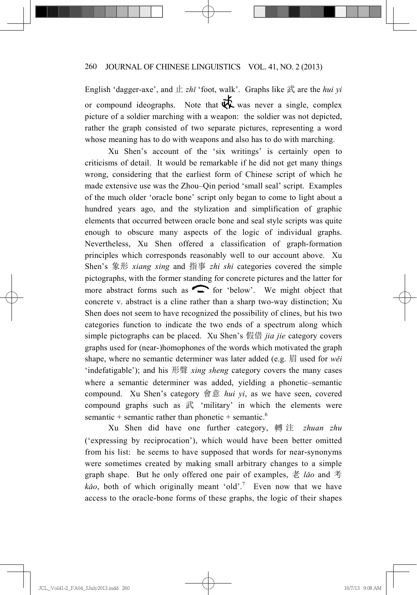English 'dagger-axe', and  $\pm zh\tilde{i}$  'foot, walk'. Graphs like  $\vec{\mathbb{R}}$  are the *hui yi* or compound ideographs. Note that  $\overrightarrow{W}$  was never a single, complex picture of a soldier marching with a weapon: the soldier was not depicted, rather the graph consisted of two separate pictures, representing a word whose meaning has to do with weapons and also has to do with marching.

 Xu Shen's account of the 'six writings' is certainly open to criticisms of detail. It would be remarkable if he did not get many things wrong, considering that the earliest form of Chinese script of which he made extensive use was the Zhou–Qin period 'small seal' script. Examples of the much older 'oracle bone' script only began to come to light about a hundred years ago, and the stylization and simplification of graphic elements that occurred between oracle bone and seal style scripts was quite enough to obscure many aspects of the logic of individual graphs. Nevertheless, Xu Shen offered a classification of graph-formation principles which corresponds reasonably well to our account above. Xu Shen's 象形 *xiang xing* and 指事 *zhi shi* categories covered the simple pictographs, with the former standing for concrete pictures and the latter for more abstract forms such as  $\frown$  for 'below'. We might object that concrete v. abstract is a cline rather than a sharp two-way distinction; Xu Shen does not seem to have recognized the possibility of clines, but his two categories function to indicate the two ends of a spectrum along which simple pictographs can be placed. Xu Shen's 假借 *jia jie* category covers graphs used for (near-)homophones of the words which motivated the graph shape, where no semantic determiner was later added (e.g.  $\boxplus$  used for *w* $\check{e}i$ 'indefatigable'); and his ᖒ㚢 *xing sheng* category covers the many cases where a semantic determiner was added, yielding a phonetic–semantic compound. Xu Shen's category 會意 *hui yi*, as we have seen, covered compound graphs such as  $\vec{R}$  'military' in which the elements were semantic + semantic rather than phonetic + semantic.<sup>6</sup>

 Xu Shen did have one further category, 蔲 ⌘ *zhuan zhu* ('expressing by reciprocation'), which would have been better omitted from his list: he seems to have supposed that words for near-synonyms were sometimes created by making small arbitrary changes to a simple graph shape. But he only offered one pair of examples,  $\ddot{\tilde{\varepsilon}}$  *lǎo* and 考 kão, both of which originally meant 'old'.<sup>7</sup> Even now that we have access to the oracle-bone forms of these graphs, the logic of their shapes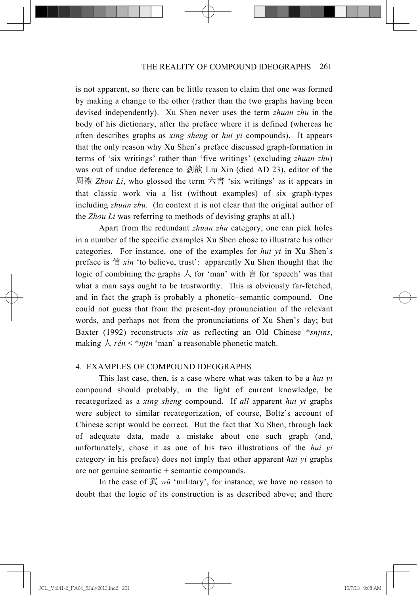is not apparent, so there can be little reason to claim that one was formed by making a change to the other (rather than the two graphs having been devised independently). Xu Shen never uses the term *zhuan zhu* in the body of his dictionary, after the preface where it is defined (whereas he often describes graphs as *xing sheng* or *hui yi* compounds). It appears that the only reason why Xu Shen's preface discussed graph-formation in terms of 'six writings' rather than 'five writings' (excluding *zhuan zhu*) was out of undue deference to 劉歆 Liu Xin (died AD 23), editor of the 周禮 *Zhou Li*, who glossed the term 六書 'six writings' as it appears in that classic work via a list (without examples) of six graph-types including *zhuan zhu*. (In context it is not clear that the original author of the *Zhou Li* was referring to methods of devising graphs at all.)

 Apart from the redundant *zhuan zhu* category, one can pick holes in a number of the specific examples Xu Shen chose to illustrate his other categories. For instance, one of the examples for *hui yi* in Xu Shen's preface is  $\hat{\textbf{f}}$  *xìn* 'to believe, trust': apparently Xu Shen thought that the logic of combining the graphs  $\lambda$  for 'man' with  $\frac{2}{\pi}$  for 'speech' was that what a man says ought to be trustworthy. This is obviously far-fetched, and in fact the graph is probably a phonetic–semantic compound. One could not guess that from the present-day pronunciation of the relevant words, and perhaps not from the pronunciations of Xu Shen's day; but Baxter (1992) reconstructs *xìn* as reflecting an Old Chinese \**snjins*, making  $\lambda$  *rén* < \**njin* 'man' a reasonable phonetic match.

### 4. EXAMPLES OF COMPOUND IDEOGRAPHS

 This last case, then, is a case where what was taken to be a *hui yi* compound should probably, in the light of current knowledge, be recategorized as a *xing sheng* compound. If *all* apparent *hui yi* graphs were subject to similar recategorization, of course, Boltz's account of Chinese script would be correct. But the fact that Xu Shen, through lack of adequate data, made a mistake about one such graph (and, unfortunately, chose it as one of his two illustrations of the *hui yi* category in his preface) does not imply that other apparent *hui yi* graphs are not genuine semantic + semantic compounds.

In the case of  $\vec{x}$  *wi* 'military', for instance, we have no reason to doubt that the logic of its construction is as described above; and there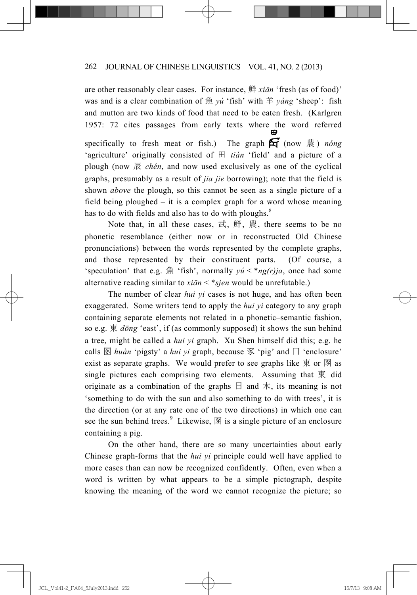are other reasonably clear cases. For instance, 鮮 *xiān* 'fresh (as of food)' was and is a clear combination of 魚 *yú* 'fish' with 羊 *yáng* 'sheep': fish and mutton are two kinds of food that need to be eaten fresh. (Karlgren 1957: 72 cites passages from early texts where the word referred specifically to fresh meat or fish.) The graph  $\mathbf{\hat{H}}$  (now  $\ddot{\mathbf{\hat{E}}}$ ) *nong* 'agriculture' originally consisted of ⭠ *tián* 'field' and a picture of a plough (now  $\overline{\mathbb{R}}$  *chén*, and now used exclusively as one of the cyclical graphs, presumably as a result of *jia jie* borrowing); note that the field is shown *above* the plough, so this cannot be seen as a single picture of a field being ploughed – it is a complex graph for a word whose meaning has to do with fields and also has to do with ploughs. $8$ 

Note that, in all these cases,  $\vec{x}$ ,  $\hat{H}$ ,  $\hat{H}$ , there seems to be no phonetic resemblance (either now or in reconstructed Old Chinese pronunciations) between the words represented by the complete graphs, and those represented by their constituent parts. (Of course, a 'speculation' that e.g. 魚 'fish', normally  $y \circ x' \leq \pi g(r) j a$ , once had some alternative reading similar to  $x \in \mathcal{I}^*$  *xian* < \**sjen* would be unrefutable.)

 The number of clear *hui yi* cases is not huge, and has often been exaggerated. Some writers tend to apply the *hui yi* category to any graph containing separate elements not related in a phonetic–semantic fashion, so e.g. 東 *dōng* 'east', if (as commonly supposed) it shows the sun behind a tree, might be called a *hui yi* graph. Xu Shen himself did this; e.g. he calls  $\mathbb{B}$  *huàn* 'pigsty' a *hui yi* graph, because  $\mathcal{K}$  'pig' and  $\Box$  'enclosure' exist as separate graphs. We would prefer to see graphs like  $\overline{\mathcal{R}}$  or  $\overline{\mathcal{B}}$  as single pictures each comprising two elements. Assuming that  $\overline{R}$  did originate as a combination of the graphs  $\Box$  and  $\pi$ , its meaning is not 'something to do with the sun and also something to do with trees', it is the direction (or at any rate one of the two directions) in which one can see the sun behind trees.<sup>9</sup> Likewise,  $\mathbb{\overline{B}}$  is a single picture of an enclosure containing a pig.

 On the other hand, there are so many uncertainties about early Chinese graph-forms that the *hui yi* principle could well have applied to more cases than can now be recognized confidently. Often, even when a word is written by what appears to be a simple pictograph, despite knowing the meaning of the word we cannot recognize the picture; so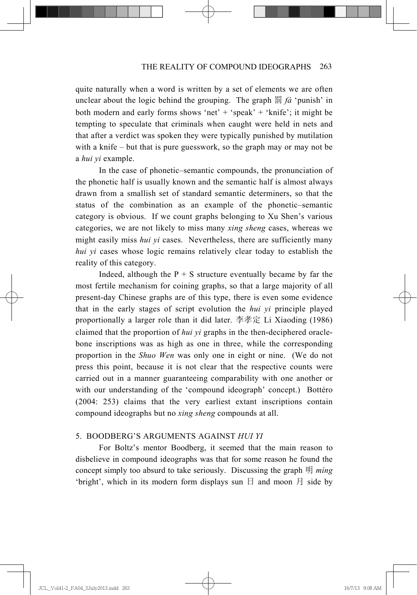quite naturally when a word is written by a set of elements we are often unclear about the logic behind the grouping. The graph  $\frac{m}{2}$  *fa* 'punish' in both modern and early forms shows 'net' + 'speak' + 'knife'; it might be tempting to speculate that criminals when caught were held in nets and that after a verdict was spoken they were typically punished by mutilation with a knife – but that is pure guesswork, so the graph may or may not be a *hui yi* example.

 In the case of phonetic–semantic compounds, the pronunciation of the phonetic half is usually known and the semantic half is almost always drawn from a smallish set of standard semantic determiners, so that the status of the combination as an example of the phonetic–semantic category is obvious. If we count graphs belonging to Xu Shen's various categories, we are not likely to miss many *xing sheng* cases, whereas we might easily miss *hui yi* cases. Nevertheless, there are sufficiently many *hui yi* cases whose logic remains relatively clear today to establish the reality of this category.

Indeed, although the  $P + S$  structure eventually became by far the most fertile mechanism for coining graphs, so that a large majority of all present-day Chinese graphs are of this type, there is even some evidence that in the early stages of script evolution the *hui yi* principle played proportionally a larger role than it did later. 李孝定 Li Xiaoding (1986) claimed that the proportion of *hui yi* graphs in the then-deciphered oraclebone inscriptions was as high as one in three, while the corresponding proportion in the *Shuo Wen* was only one in eight or nine. (We do not press this point, because it is not clear that the respective counts were carried out in a manner guaranteeing comparability with one another or with our understanding of the 'compound ideograph' concept.) Bottéro (2004: 253) claims that the very earliest extant inscriptions contain compound ideographs but no *xing sheng* compounds at all.

#### 5. BOODBERG'S ARGUMENTS AGAINST *HUI YI*

 For Boltz's mentor Boodberg, it seemed that the main reason to disbelieve in compound ideographs was that for some reason he found the concept simply too absurd to take seriously. Discussing the graph 明 *ming* 'bright', which in its modern form displays sun  $\boxminus$  and moon  $\boxminus$  side by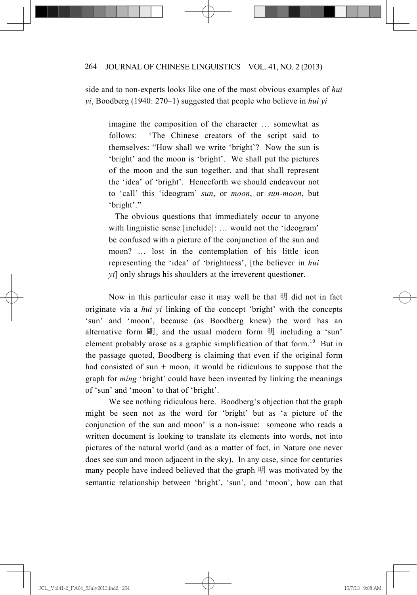side and to non-experts looks like one of the most obvious examples of *hui yi*, Boodberg (1940: 270–1) suggested that people who believe in *hui yi*

imagine the composition of the character … somewhat as follows: 'The Chinese creators of the script said to themselves: "How shall we write 'bright'? Now the sun is 'bright' and the moon is 'bright'. We shall put the pictures of the moon and the sun together, and that shall represent the 'idea' of 'bright'. Henceforth we should endeavour not to 'call' this 'ideogram' *sun*, or *moon*, or *sun-moon*, but 'bright'."

 The obvious questions that immediately occur to anyone with linguistic sense [include]: … would not the 'ideogram' be confused with a picture of the conjunction of the sun and moon? … lost in the contemplation of his little icon representing the 'idea' of 'brightness', [the believer in *hui yi*] only shrugs his shoulders at the irreverent questioner.

Now in this particular case it may well be that  $\mathbb{H}$  did not in fact originate via a *hui yi* linking of the concept 'bright' with the concepts 'sun' and 'moon', because (as Boodberg knew) the word has an alternative form 朙, and the usual modern form 明 including a 'sun' element probably arose as a graphic simplification of that form.<sup>10</sup> But in the passage quoted, Boodberg is claiming that even if the original form had consisted of sun  $+$  moon, it would be ridiculous to suppose that the graph for *míng* 'bright' could have been invented by linking the meanings of 'sun' and 'moon' to that of 'bright'.

 We see nothing ridiculous here. Boodberg's objection that the graph might be seen not as the word for 'bright' but as 'a picture of the conjunction of the sun and moon' is a non-issue: someone who reads a written document is looking to translate its elements into words, not into pictures of the natural world (and as a matter of fact, in Nature one never does see sun and moon adjacent in the sky). In any case, since for centuries many people have indeed believed that the graph  $\mathbb{H}$  was motivated by the semantic relationship between 'bright', 'sun', and 'moon', how can that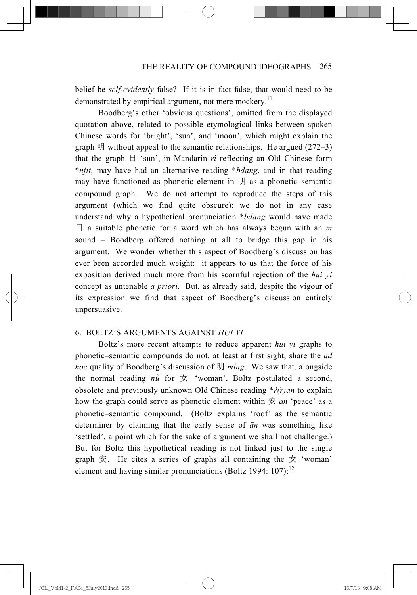belief be *self-evidently* false? If it is in fact false, that would need to be demonstrated by empirical argument, not mere mockery.<sup>11</sup>

 Boodberg's other 'obvious questions', omitted from the displayed quotation above, related to possible etymological links between spoken Chinese words for 'bright', 'sun', and 'moon', which might explain the graph  $\mathbb{H}$  without appeal to the semantic relationships. He argued (272–3) that the graph  $\exists$  'sun', in Mandarin *ri* reflecting an Old Chinese form \**njit*, may have had an alternative reading \**bdang*, and in that reading may have functioned as phonetic element in 明 as a phonetic–semantic compound graph. We do not attempt to reproduce the steps of this argument (which we find quite obscure); we do not in any case understand why a hypothetical pronunciation \**bdang* would have made  $\Box$  a suitable phonetic for a word which has always begun with an *m* sound – Boodberg offered nothing at all to bridge this gap in his argument. We wonder whether this aspect of Boodberg's discussion has ever been accorded much weight: it appears to us that the force of his exposition derived much more from his scornful rejection of the *hui yi* concept as untenable *a priori*. But, as already said, despite the vigour of its expression we find that aspect of Boodberg's discussion entirely unpersuasive.

#### 6. BOLTZ'S ARGUMENTS AGAINST *HUI YI*

 Boltz's more recent attempts to reduce apparent *hui yi* graphs to phonetic–semantic compounds do not, at least at first sight, share the *ad hoc* quality of Boodberg's discussion of ᰾ *míng*. We saw that, alongside the normal reading  $n\ddot{u}$  for  $\dot{\mathcal{L}}$  'woman', Boltz postulated a second, obsolete and previously unknown Old Chinese reading \**Ҍ(r)an* to explain how the graph could serve as phonetic element within  $\hat{\mathcal{F}}$   $\bar{a}n$  'peace' as a phonetic–semantic compound. (Boltz explains 'roof' as the semantic determiner by claiming that the early sense of  $\bar{a}n$  was something like 'settled', a point which for the sake of argument we shall not challenge.) But for Boltz this hypothetical reading is not linked just to the single graph  $\overline{x}$ . He cites a series of graphs all containing the  $\overline{x}$  'woman' element and having similar pronunciations (Boltz 1994: 107):<sup>12</sup>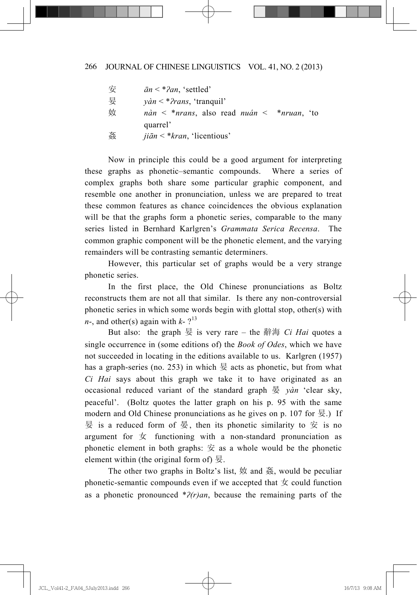| 安 | $\bar{a}n <$ * $\hat{c}$ an, 'settled'                              |
|---|---------------------------------------------------------------------|
| 妟 | $y\hat{a}n <$ * <i>Prans</i> , 'tranquil'                           |
| 奻 | $n\dot{a}n < *nrans$ , also read <i>nuán</i> < * <i>nruan</i> , 'to |
|   | quarrel'                                                            |
| 姦 | <i>jiān</i> < * <i>kran</i> , 'licentious'                          |

 Now in principle this could be a good argument for interpreting these graphs as phonetic–semantic compounds. Where a series of complex graphs both share some particular graphic component, and resemble one another in pronunciation, unless we are prepared to treat these common features as chance coincidences the obvious explanation will be that the graphs form a phonetic series, comparable to the many series listed in Bernhard Karlgren's *Grammata Serica Recensa*. The common graphic component will be the phonetic element, and the varying remainders will be contrasting semantic determiners.

 However, this particular set of graphs would be a very strange phonetic series.

 In the first place, the Old Chinese pronunciations as Boltz reconstructs them are not all that similar. Is there any non-controversial phonetic series in which some words begin with glottal stop, other(s) with  $n<sub>l</sub>$ , and other(s) again with  $k<sub>l</sub>$ <sup>13</sup>

But also: the graph  $\frac{1}{2}$  is very rare – the 辭海 *Ci Hai* quotes a single occurrence in (some editions of) the *Book of Odes*, which we have not succeeded in locating in the editions available to us. Karlgren (1957) has a graph-series (no. 253) in which  $\frac{1}{2}$  acts as phonetic, but from what *Ci Hai* says about this graph we take it to have originated as an occasional reduced variant of the standard graph ᱿ *yàn* 'clear sky, peaceful'. (Boltz quotes the latter graph on his p. 95 with the same modern and Old Chinese pronunciations as he gives on p. 107 for  $\frac{1}{2}$ .) If  $\frac{1}{2}$  is a reduced form of  $\frac{1}{2}$ , then its phonetic similarity to  $\frac{1}{2}$  is no argument for  $\pm$  functioning with a non-standard pronunciation as phonetic element in both graphs:  $\hat{\mathcal{F}}$  as a whole would be the phonetic element within (the original form of)  $\frac{1}{2}$ .

The other two graphs in Boltz's list,  $\oint$  and  $\tilde{\mathcal{B}}$ , would be peculiar phonetic-semantic compounds even if we accepted that  $\pm$  could function as a phonetic pronounced \**Ҍ(r)an*, because the remaining parts of the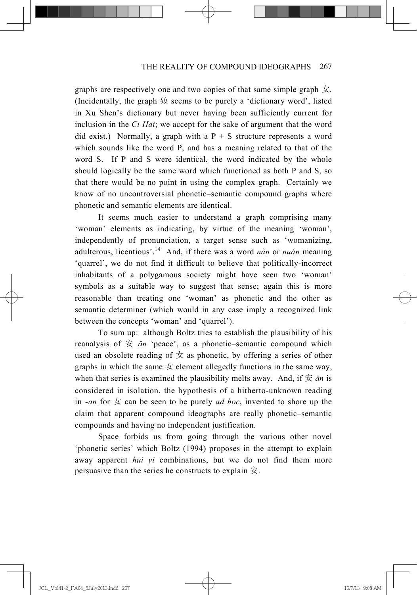graphs are respectively one and two copies of that same simple graph  $\pm$ . (Incidentally, the graph  $\#$  seems to be purely a 'dictionary word', listed in Xu Shen's dictionary but never having been sufficiently current for inclusion in the *Ci Hai*; we accept for the sake of argument that the word did exist.) Normally, a graph with a  $P + S$  structure represents a word which sounds like the word P, and has a meaning related to that of the word S. If P and S were identical, the word indicated by the whole should logically be the same word which functioned as both P and S, so that there would be no point in using the complex graph. Certainly we know of no uncontroversial phonetic–semantic compound graphs where phonetic and semantic elements are identical.

 It seems much easier to understand a graph comprising many 'woman' elements as indicating, by virtue of the meaning 'woman', independently of pronunciation, a target sense such as 'womanizing, adulterous, licentious'.14 And, if there was a word *nàn* or *nuán* meaning 'quarrel', we do not find it difficult to believe that politically-incorrect inhabitants of a polygamous society might have seen two 'woman' symbols as a suitable way to suggest that sense; again this is more reasonable than treating one 'woman' as phonetic and the other as semantic determiner (which would in any case imply a recognized link between the concepts 'woman' and 'quarrel').

 To sum up: although Boltz tries to establish the plausibility of his reanalysis of  $\hat{\Xi}$   $\bar{a}$  'peace', as a phonetic–semantic compound which used an obsolete reading of  $\pm$  as phonetic, by offering a series of other graphs in which the same  $\pm$  element allegedly functions in the same way, when that series is examined the plausibility melts away. And, if  $\hat{\mathcal{F}}$   $\bar{a}n$  is considered in isolation, the hypothesis of a hitherto-unknown reading in -*an* for  $\pm$  can be seen to be purely *ad hoc*, invented to shore up the claim that apparent compound ideographs are really phonetic–semantic compounds and having no independent justification.

 Space forbids us from going through the various other novel 'phonetic series' which Boltz (1994) proposes in the attempt to explain away apparent *hui yi* combinations, but we do not find them more persuasive than the series he constructs to explain  $\ddot{\mathcal{F}}$ .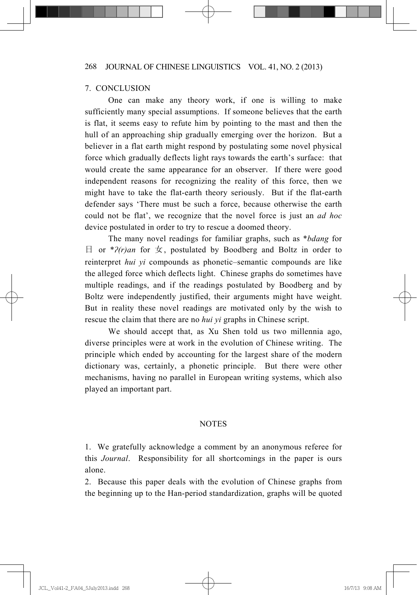#### 7. CONCLUSION

 One can make any theory work, if one is willing to make sufficiently many special assumptions. If someone believes that the earth is flat, it seems easy to refute him by pointing to the mast and then the hull of an approaching ship gradually emerging over the horizon. But a believer in a flat earth might respond by postulating some novel physical force which gradually deflects light rays towards the earth's surface: that would create the same appearance for an observer. If there were good independent reasons for recognizing the reality of this force, then we might have to take the flat-earth theory seriously. But if the flat-earth defender says 'There must be such a force, because otherwise the earth could not be flat', we recognize that the novel force is just an *ad hoc* device postulated in order to try to rescue a doomed theory.

 The many novel readings for familiar graphs, such as \**bdang* for ᰕ or \**Ҍ(r)an* for ྣ, postulated by Boodberg and Boltz in order to reinterpret *hui yi* compounds as phonetic–semantic compounds are like the alleged force which deflects light. Chinese graphs do sometimes have multiple readings, and if the readings postulated by Boodberg and by Boltz were independently justified, their arguments might have weight. But in reality these novel readings are motivated only by the wish to rescue the claim that there are no *hui yi* graphs in Chinese script.

 We should accept that, as Xu Shen told us two millennia ago, diverse principles were at work in the evolution of Chinese writing. The principle which ended by accounting for the largest share of the modern dictionary was, certainly, a phonetic principle. But there were other mechanisms, having no parallel in European writing systems, which also played an important part.

#### NOTES

1. We gratefully acknowledge a comment by an anonymous referee for this *Journal*. Responsibility for all shortcomings in the paper is ours alone.

2. Because this paper deals with the evolution of Chinese graphs from the beginning up to the Han-period standardization, graphs will be quoted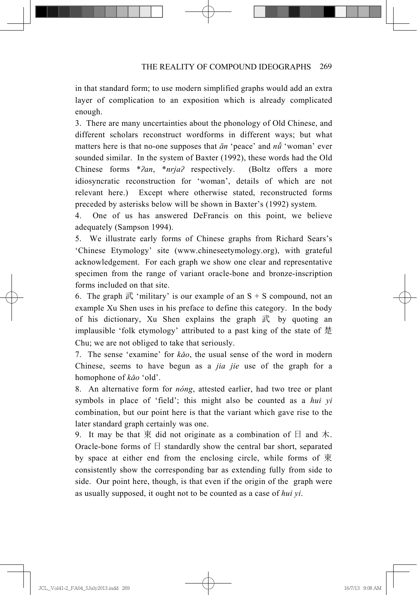in that standard form; to use modern simplified graphs would add an extra layer of complication to an exposition which is already complicated enough.

3. There are many uncertainties about the phonology of Old Chinese, and different scholars reconstruct wordforms in different ways; but what matters here is that no-one supposes that  $\bar{a}n$  'peace' and  $n\tilde{u}$  'woman' ever sounded similar. In the system of Baxter (1992), these words had the Old Chinese forms \**?an*, \**nrja?* respectively. (Boltz offers a more idiosyncratic reconstruction for 'woman', details of which are not relevant here.) Except where otherwise stated, reconstructed forms preceded by asterisks below will be shown in Baxter's (1992) system.

4. One of us has answered DeFrancis on this point, we believe adequately (Sampson 1994).

5. We illustrate early forms of Chinese graphs from Richard Sears's 'Chinese Etymology' site (www.chineseetymology.org), with grateful acknowledgement. For each graph we show one clear and representative specimen from the range of variant oracle-bone and bronze-inscription forms included on that site.

6. The graph  $\mathbb{R}^2$  'military' is our example of an S + S compound, not an example Xu Shen uses in his preface to define this category. In the body of his dictionary, Xu Shen explains the graph  $\vec{R}$  by quoting an implausible 'folk etymology' attributed to a past king of the state of  $\ddot{\mathcal{E}}$ Chu; we are not obliged to take that seriously.

7. The sense 'examine' for *ko*, the usual sense of the word in modern Chinese, seems to have begun as a *jia jie* use of the graph for a homophone of *k*<sup>o</sup> 'old'.

8. An alternative form for *nóng*, attested earlier, had two tree or plant symbols in place of 'field'; this might also be counted as a *hui yi* combination, but our point here is that the variant which gave rise to the later standard graph certainly was one.

9. It may be that  $\overline{R}$  did not originate as a combination of  $\overline{H}$  and  $\overline{\Lambda}$ . Oracle-bone forms of  $\Box$  standardly show the central bar short, separated by space at either end from the enclosing circle, while forms of  $\overline{R}$ consistently show the corresponding bar as extending fully from side to side. Our point here, though, is that even if the origin of the graph were as usually supposed, it ought not to be counted as a case of *hui yi*.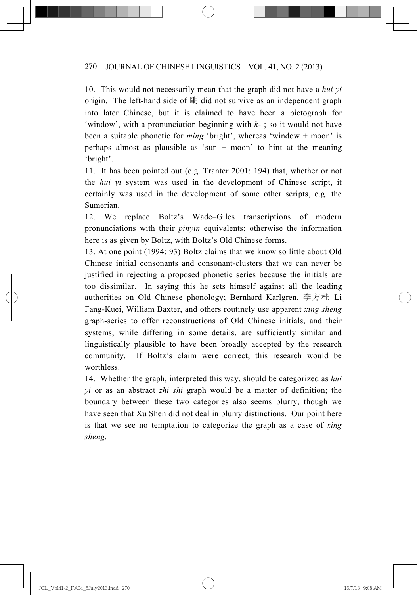10. This would not necessarily mean that the graph did not have a *hui yi* origin. The left-hand side of 朙 did not survive as an independent graph into later Chinese, but it is claimed to have been a pictograph for 'window', with a pronunciation beginning with *k*- ; so it would not have been a suitable phonetic for *míng* 'bright', whereas 'window + moon' is perhaps almost as plausible as 'sun + moon' to hint at the meaning 'bright'.

11. It has been pointed out (e.g. Tranter 2001: 194) that, whether or not the *hui yi* system was used in the development of Chinese script, it certainly was used in the development of some other scripts, e.g. the Sumerian.

12. We replace Boltz's Wade–Giles transcriptions of modern pronunciations with their *pinyin* equivalents; otherwise the information here is as given by Boltz, with Boltz's Old Chinese forms.

13. At one point (1994: 93) Boltz claims that we know so little about Old Chinese initial consonants and consonant-clusters that we can never be justified in rejecting a proposed phonetic series because the initials are too dissimilar. In saying this he sets himself against all the leading authorities on Old Chinese phonology; Bernhard Karlgren, 李方桂 Li Fang-Kuei, William Baxter, and others routinely use apparent *xing sheng* graph-series to offer reconstructions of Old Chinese initials, and their systems, while differing in some details, are sufficiently similar and linguistically plausible to have been broadly accepted by the research community. If Boltz's claim were correct, this research would be worthless.

14. Whether the graph, interpreted this way, should be categorized as *hui yi* or as an abstract *zhi shi* graph would be a matter of definition; the boundary between these two categories also seems blurry, though we have seen that Xu Shen did not deal in blurry distinctions. Our point here is that we see no temptation to categorize the graph as a case of *xing sheng*.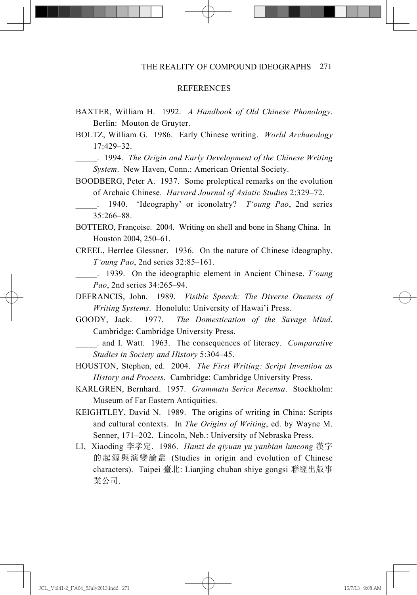#### **REFERENCES**

- BAXTER, William H. 1992. *A Handbook of Old Chinese Phonology*. Berlin: Mouton de Gruyter.
- BOLTZ, William G. 1986. Early Chinese writing. *World Archaeology* 17:429–32.

\_\_\_\_\_. 1994. *The Origin and Early Development of the Chinese Writing System*. New Haven, Conn.: American Oriental Society.

BOODBERG, Peter A. 1937. Some proleptical remarks on the evolution of Archaic Chinese. *Harvard Journal of Asiatic Studies* 2:329–72.

\_\_\_\_\_. 1940. 'Ideography' or iconolatry? *T'oung Pao*, 2nd series 35:266–88.

- BOTTERO, Françoise. 2004. Writing on shell and bone in Shang China. In Houston 2004, 250–61.
- CREEL, Herrlee Glessner. 1936. On the nature of Chinese ideography. *T'oung Pao*, 2nd series 32:85–161.

\_\_\_\_\_. 1939. On the ideographic element in Ancient Chinese. *T'oung Pao*, 2nd series 34:265–94.

- DEFRANCIS, John. 1989. *Visible Speech: The Diverse Oneness of Writing Systems*. Honolulu: University of Hawai'i Press.
- GOODY, Jack. 1977. *The Domestication of the Savage Mind*. Cambridge: Cambridge University Press.

\_\_\_\_\_. and I. Watt. 1963. The consequences of literacy. *Comparative Studies in Society and History* 5:304–45.

- HOUSTON, Stephen, ed. 2004. *The First Writing: Script Invention as History and Process*. Cambridge: Cambridge University Press.
- KARLGREN, Bernhard. 1957. *Grammata Serica Recensa*. Stockholm: Museum of Far Eastern Antiquities.
- KEIGHTLEY, David N. 1989. The origins of writing in China: Scripts and cultural contexts. In *The Origins of Writing*, ed. by Wayne M. Senner, 171–202. Lincoln, Neb.: University of Nebraska Press.
- LI, Xiaoding 李孝定. 1986. *Hanzi de qiyuan yu yanbian luncong* 漢字 的起源與演變論叢 (Studies in origin and evolution of Chinese characters). Taipei 臺北: Lianjing chuban shiye gongsi 聯經出版事 業公司.